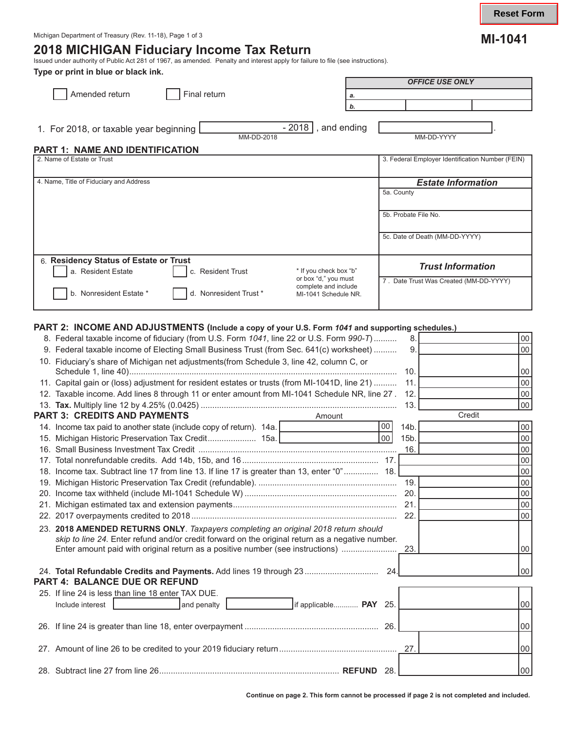# **2018 MICHIGAN Fiduciary Income Tax Return** Issued under authority of Public Act 281 of 1967, as amended. Penalty and interest apply for failure to file (see instructions).

**Type or print in blue or black ink.** 

| Type of print in blue of black like.<br>Amended return<br>Final return                                                                                                                                                                   | <b>OFFICE USE ONLY</b><br>a.<br>b.                                                                |
|------------------------------------------------------------------------------------------------------------------------------------------------------------------------------------------------------------------------------------------|---------------------------------------------------------------------------------------------------|
| $-2018$ , and ending<br>1. For 2018, or taxable year beginning<br>MM-DD-2018<br><b>PART 1: NAME AND IDENTIFICATION</b>                                                                                                                   | MM-DD-YYYY                                                                                        |
| 2. Name of Estate or Trust                                                                                                                                                                                                               | 3. Federal Employer Identification Number (FEIN)                                                  |
| 4. Name, Title of Fiduciary and Address                                                                                                                                                                                                  | <b>Estate Information</b><br>5a. County<br>5b. Probate File No.<br>5c. Date of Death (MM-DD-YYYY) |
| 6. Residency Status of Estate or Trust<br>* If you check box "b"<br>a. Resident Estate<br>c. Resident Trust<br>or box "d," you must<br>complete and include<br>b. Nonresident Estate *<br>d. Nonresident Trust *<br>MI-1041 Schedule NR. | <b>Trust Information</b><br>7. Date Trust Was Created (MM-DD-YYYY)                                |

# **PART 2: INCOME AND ADJUSTMENTS (Include a copy of your U.S. Form** *1041* **and supporting schedules.)**

| PART 2. TINGUINE AND ADJUSTINENTS (INClude a copy of your U.S. Form <i>1041</i> and supporting schedules.) |      |        |                 |  |  |  |
|------------------------------------------------------------------------------------------------------------|------|--------|-----------------|--|--|--|
| 8. Federal taxable income of fiduciary (from U.S. Form 1041, line 22 or U.S. Form 990-T)                   | 8.   |        | $00\,$          |  |  |  |
| 9. Federal taxable income of Electing Small Business Trust (from Sec. 641(c) worksheet)                    | 9.   |        | $00\,$          |  |  |  |
| 10. Fiduciary's share of Michigan net adjustments(from Schedule 3, line 42, column C, or                   |      |        |                 |  |  |  |
|                                                                                                            | 10.  |        | 00              |  |  |  |
| 11. Capital gain or (loss) adjustment for resident estates or trusts (from MI-1041D, line 21)              | 11.  |        | 00              |  |  |  |
| 12. Taxable income. Add lines 8 through 11 or enter amount from MI-1041 Schedule NR, line 27.              | 12.  |        | 00              |  |  |  |
|                                                                                                            | 13.  |        | 00              |  |  |  |
| <b>PART 3: CREDITS AND PAYMENTS</b><br>Amount                                                              |      | Credit |                 |  |  |  |
| 00 <br>14. Income tax paid to another state (include copy of return). 14a.   <b>19.</b> [1996]             | 14b. |        | $00\,$          |  |  |  |
| 00 <sup>1</sup>                                                                                            | 15b. |        | $00\,$          |  |  |  |
|                                                                                                            | 16.  |        | 00              |  |  |  |
|                                                                                                            |      |        | 00              |  |  |  |
| 18. Income tax. Subtract line 17 from line 13. If line 17 is greater than 13, enter "0" 18.                |      |        | 00              |  |  |  |
|                                                                                                            | 19.  |        | 00              |  |  |  |
|                                                                                                            |      |        | 00              |  |  |  |
|                                                                                                            |      |        |                 |  |  |  |
| 22.                                                                                                        |      |        |                 |  |  |  |
| 23. 2018 AMENDED RETURNS ONLY. Taxpayers completing an original 2018 return should                         |      |        |                 |  |  |  |
| skip to line 24. Enter refund and/or credit forward on the original return as a negative number.           |      |        |                 |  |  |  |
|                                                                                                            |      |        | 00 <sup>1</sup> |  |  |  |
|                                                                                                            |      |        |                 |  |  |  |
| 24. Total Refundable Credits and Payments. Add lines 19 through 23<br>24.                                  |      |        | 00              |  |  |  |
| PART 4: BALANCE DUE OR REFUND                                                                              |      |        |                 |  |  |  |
| 25. If line 24 is less than line 18 enter TAX DUE.                                                         |      |        |                 |  |  |  |
| if applicable PAY 25.<br>Include interest<br>and penalty                                                   |      |        | $00\,$          |  |  |  |
|                                                                                                            |      |        |                 |  |  |  |
|                                                                                                            |      |        | 00              |  |  |  |
|                                                                                                            |      |        |                 |  |  |  |
|                                                                                                            | 27.  |        | 00              |  |  |  |
|                                                                                                            |      |        |                 |  |  |  |
| -28.                                                                                                       |      |        | 00 <sup>1</sup> |  |  |  |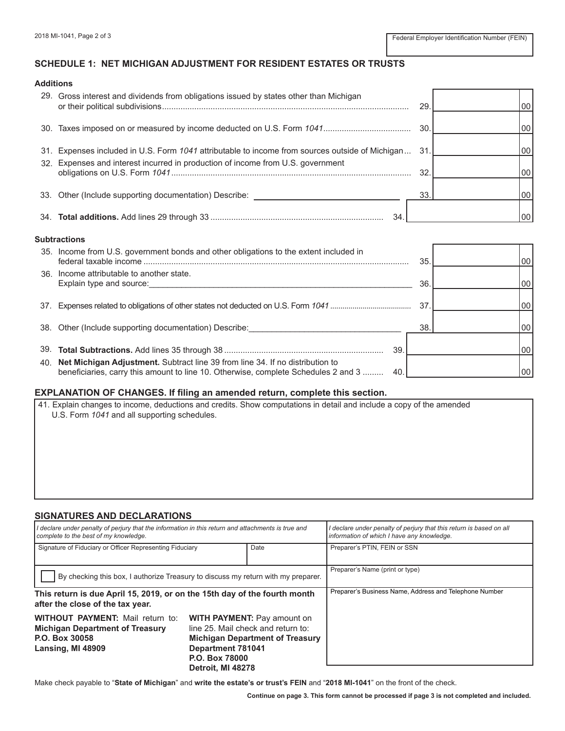# **SCHEDULE 1: NET MICHIGAN ADJUSTMENT FOR RESIDENT ESTATES OR TRUSTS**

| Additions |                                                                                                                                                                                    |     |    |
|-----------|------------------------------------------------------------------------------------------------------------------------------------------------------------------------------------|-----|----|
|           | 29. Gross interest and dividends from obligations issued by states other than Michigan                                                                                             | 29  |    |
| 30.       |                                                                                                                                                                                    | 30. | 00 |
|           | 31. Expenses included in U.S. Form 1041 attributable to income from sources outside of Michigan<br>32. Expenses and interest incurred in production of income from U.S. government | 31  | 00 |
|           |                                                                                                                                                                                    | 32  | 00 |
|           | 33. Other (Include supporting documentation) Describe:                                                                                                                             | 33  | 00 |
|           | 34                                                                                                                                                                                 |     |    |
|           |                                                                                                                                                                                    |     |    |

#### **Subtractions**

| 35. Income from U.S. government bonds and other obligations to the extent included in | 35. | 00       |
|---------------------------------------------------------------------------------------|-----|----------|
| 36. Income attributable to another state.                                             |     |          |
| Explain type and source:                                                              | 36. | 00       |
|                                                                                       |     |          |
|                                                                                       | 37  | 00       |
|                                                                                       |     |          |
| 38. Other (Include supporting documentation) Describe:                                | 38  | 00       |
|                                                                                       |     |          |
|                                                                                       |     | 00       |
| 40. Net Michigan Adjustment. Subtract line 39 from line 34. If no distribution to     |     |          |
| beneficiaries, carry this amount to line 10. Otherwise, complete Schedules 2 and 3    |     | 00       |
|                                                                                       |     | 39<br>40 |

#### **EXPLANATION OF CHANGES. If filing an amended return, complete this section.**

41. Explain changes to income, deductions and credits. Show computations in detail and include a copy of the amended U.S. Form *1041* and all supporting schedules.

#### **SIGNATURES AND DECLARATIONS**

| I declare under penalty of perjury that the information in this return and attachments is true and<br>complete to the best of my knowledge.                                                                                                                                                                |  |  | I declare under penalty of perjury that this return is based on all<br>information of which I have any knowledge. |  |
|------------------------------------------------------------------------------------------------------------------------------------------------------------------------------------------------------------------------------------------------------------------------------------------------------------|--|--|-------------------------------------------------------------------------------------------------------------------|--|
| Signature of Fiduciary or Officer Representing Fiduciary<br>Date                                                                                                                                                                                                                                           |  |  | Preparer's PTIN, FEIN or SSN                                                                                      |  |
| By checking this box, I authorize Treasury to discuss my return with my preparer.                                                                                                                                                                                                                          |  |  | Preparer's Name (print or type)                                                                                   |  |
| This return is due April 15, 2019, or on the 15th day of the fourth month<br>after the close of the tax year.                                                                                                                                                                                              |  |  | Preparer's Business Name, Address and Telephone Number                                                            |  |
| <b>WITHOUT PAYMENT:</b> Mail return to:<br><b>WITH PAYMENT: Pay amount on</b><br>line 25. Mail check and return to:<br><b>Michigan Department of Treasury</b><br>P.O. Box 30058<br><b>Michigan Department of Treasury</b><br>Lansing, MI 48909<br>Department 781041<br>P.O. Box 78000<br>Detroit. MI 48278 |  |  |                                                                                                                   |  |

Make check payable to "**State of Michigan**" and **write the estate's or trust's FEIN** and "**2018 MI-1041**" on the front of the check.